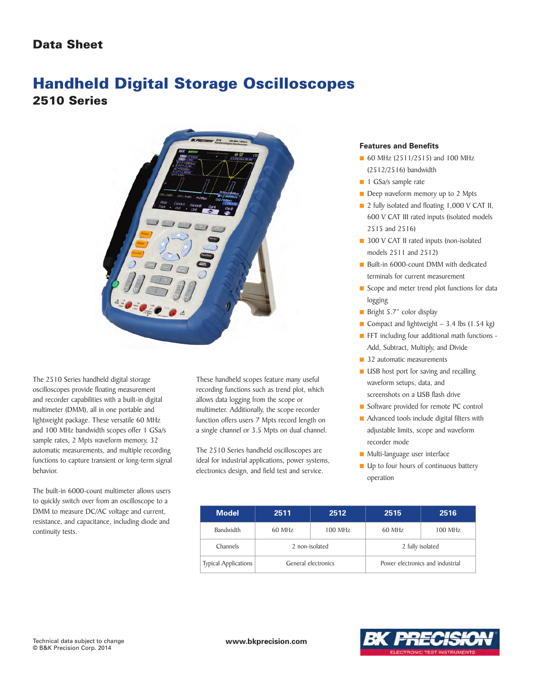

The 2510 Series handheld digital storage oscilloscopes provide floating measurement and recorder capabilities with a built-in digital multimeter (DMM), all in one portable and lightweight package. These versatile 60 MHz and 100 MHz bandwidth scopes offer 1 GSa/s sample rates, 2 Mpts waveform memory, 32 automatic measurements, and multiple recording functions to capture transient or long-term signal behavior.

The built-in 6000-count multimeter allows users to quickly switch over from an oscilloscope to a DMM to measure DC/AC voltage and current, resistance, and capacitance, including diode and continuity tests.

These handheld scopes feature many useful recording functions such as trend plot, which allows data logging from the scope or multimeter. Additionally, the scope recorder function offers users 7 Mpts record length on a single channel or 3.5 Mpts on dual channel.

The 2510 Series handheld oscilloscopes are ideal for industrial applications, power systems, electronics design, and field test and service.

#### **Features and Benefits**

- **■** 60 MHz (2511/2515) and 100 MHz (2512/2516) bandwidth
- 1 GSa/s sample rate
- Deep waveform memory up to 2 Mpts
- 2 fully isolated and floating 1,000 V CAT II, 600 V CAT III rated inputs (isolated models 2515 and 2516)
- 300 V CAT II rated inputs (non-isolated models 2511 and 2512)
- Built-in 6000-count DMM with dedicated terminals for current measurement
- Scope and meter trend plot functions for data logging
- Bright 5.7" color display
- Compact and lightweight 3.4 lbs (1.54 kg)
- **■** FFT including four additional math functions -Add, Subtract, Multiply, and Divide
- 32 automatic measurements
- **USB** host port for saving and recalling waveform setups, data, and screenshots on a USB flash drive
- Software provided for remote PC control
- Advanced tools include digital filters with adjustable limits, scope and waveform recorder mode
- Multi-language user interface
- Up to four hours of continuous battery operation

| <b>Model</b>                | 2511                | 2512      | 2515                             | 2516    |
|-----------------------------|---------------------|-----------|----------------------------------|---------|
| Bandwidth                   | 60 MHz              | $100$ MHz | 60 MHz                           | 100 MHz |
| Channels                    | 2 non-isolated      |           | 2 fully isolated                 |         |
| <b>Typical Applications</b> | General electronics |           | Power electronics and industrial |         |

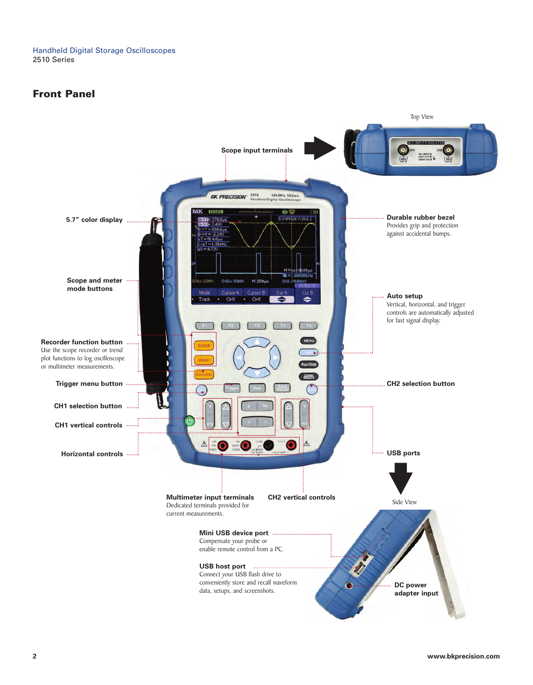## **Front Panel**

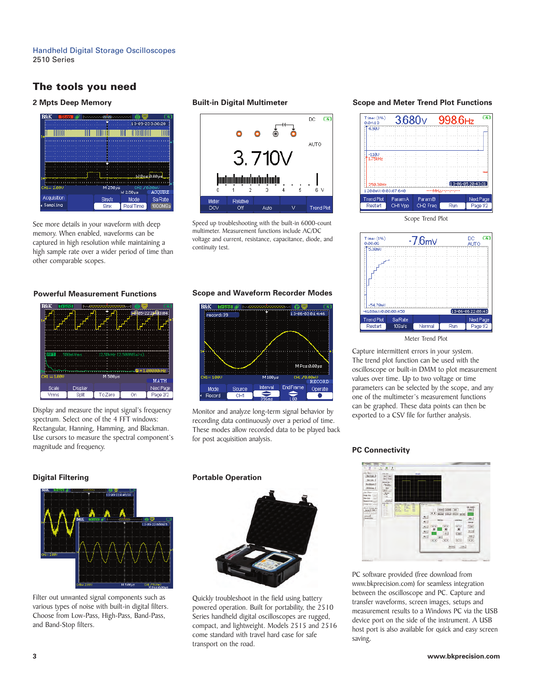# **The tools you need**

#### **2 Mpts Deep Memory**



See more details in your waveform with deep memory. When enabled, waveforms can be captured in high resolution while maintaining a high sample rate over a wider period of time than other comparable scopes.

### **Built-in Digital Multimeter**



Speed up troubleshooting with the built-in 6000-count multimeter. Measurement functions include AC/DC voltage and current, resistance, capacitance, diode, and continuity test.

### **Powerful Measurement Functions Scope and Waveform Recorder Modes**



Display and measure the input signal's frequency spectrum. Select one of the 4 FFT windows: Rectangular, Hanning, Hamming, and Blackman. Use cursors to measure the spectral component's magnitude and frequency.

# **Digital Filtering**



Filter out unwanted signal components such as various types of noise with built-in digital filters. Choose from Low-Pass, High-Pass, Band-Pass, and Band-Stop filters.



Monitor and analyze long-term signal behavior by recording data continuously over a period of time. These modes allow recorded data to be played back for post acquisition analysis.

#### **Portable Operation**



Quickly troubleshoot in the field using battery powered operation. Built for portability, the 2510 Series handheld digital oscilloscopes are rugged, compact, and lightweight. Models 2515 and 2516 come standard with travel hard case for safe transport on the road.

#### **Scope and Meter Trend Plot Functions**



 $\overline{G}$  $Time: (196)$ DC.  $-7.6$ m $\vee$  $0.00.01$ ĀŬΤΟ **TR** Some  $-54.70mC$ 41.80mU/0:00:00:456 **Trend Plot** Sa Rate Next Page Restart 10Sa/s Normal  $Run$ Page 1/2 Meter Trend Plot

Capture intermittent errors in your system. The trend plot function can be used with the oscilloscope or built-in DMM to plot measurement values over time. Up to two voltage or time parameters can be selected by the scope, and any one of the multimeter's measurement functions can be graphed. These data points can then be exported to a CSV file for further analysis.

### **PC Connectivity**



PC software provided (free download from www.bkprecision.com) for seamless integration between the oscilloscope and PC. Capture and transfer waveforms, screen images, setups and measurement results to a Windows PC via the USB device port on the side of the instrument. A USB host port is also available for quick and easy screen saving.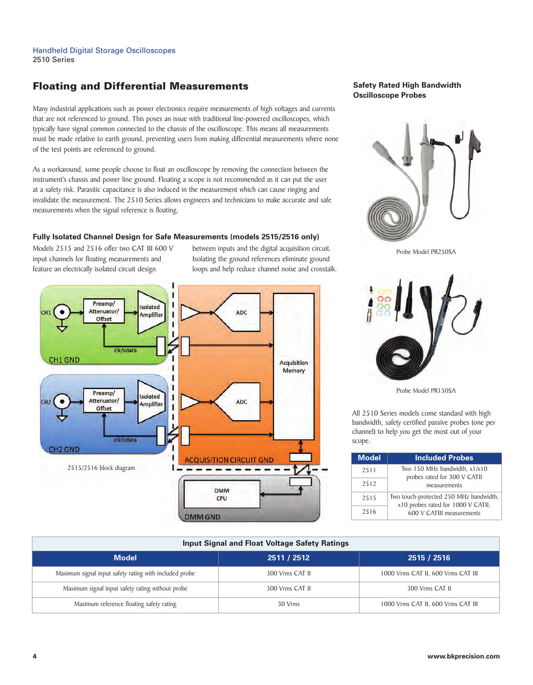# **Floating and Differential Measurements**

Many industrial applications such as power electronics require measurements of high voltages and currents that are not referenced to ground. This poses an issue with traditional line-powered oscilloscopes, which typically have signal common connected to the chassis of the oscilloscope. This means all measurements must be made relative to earth ground, preventing users from making differential measurements where none of the test points are referenced to ground.

As a workaround, some people choose to float an oscilloscope by removing the connection between the instrument's chassis and power line ground. Floating a scope is not recommended as it can put the user at a safety risk. Parasitic capacitance is also induced in the measurement which can cause ringing and invalidate the measurement. The 2510 Series allows engineers and technicians to make accurate and safe measurements when the signal reference is floating.

### **Fully Isolated Channel Design for Safe Measurements (models 2515/2516 only)**

Models 2515 and 2516 offer two CAT III 600 V input channels for floating measurements and feature an electrically isolated circuit design

between inputs and the digital acquisition circuit. Isolating the ground references eliminate ground loops and help reduce channel noise and crosstalk.



### **Safety Rated High Bandwidth Oscilloscope Probes**



Probe Model PR250SA



Probe Model PR150SA

All 2510 Series models come standard with high bandwidth, safety certified passive probes (one per channel) to help you get the most out of your scope.

| <b>Model</b> | <b>Included Probes</b>                                                       |
|--------------|------------------------------------------------------------------------------|
| 2511         | Two 150 MHz bandwidth, x1/x10<br>probes rated for 300 V CATII                |
| 2512         | measurements                                                                 |
| 2515         | Two touch-protected 250 MHz bandwidth,<br>x10 probes rated for 1000 V CATII, |
| 2516         | 600 V CATIII measurements                                                    |

| <b>Input Signal and Float Voltage Safety Ratings</b>   |                 |                                    |  |
|--------------------------------------------------------|-----------------|------------------------------------|--|
| <b>Model</b>                                           | 2511 / 2512     | 2515 / 2516                        |  |
| Maximum signal input safety rating with included probe | 300 Vrms CAT II | 1000 Vrms CAT II, 600 Vrms CAT III |  |
| Maximum signal input safety rating without probe       | 300 Vrms CAT II | 300 Vrms CAT II                    |  |
| Maximum reference floating safety rating               | 30 Vrms         | 1000 Vrms CAT II, 600 Vrms CAT III |  |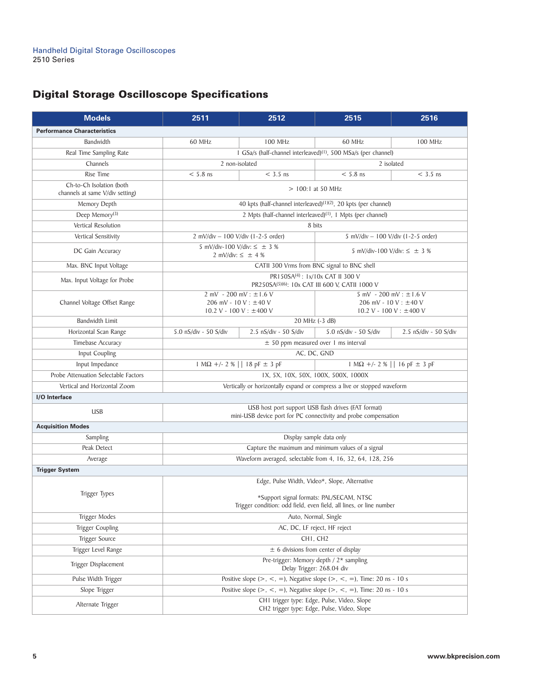# **Digital Storage Oscilloscope Specifications**

| <b>Models</b>                                                                                                                        | 2511                                                                                                            | 2512                                                                    | 2515                                                                              | 2516                                                                                   |
|--------------------------------------------------------------------------------------------------------------------------------------|-----------------------------------------------------------------------------------------------------------------|-------------------------------------------------------------------------|-----------------------------------------------------------------------------------|----------------------------------------------------------------------------------------|
| <b>Performance Characteristics</b>                                                                                                   |                                                                                                                 |                                                                         |                                                                                   |                                                                                        |
| Bandwidth                                                                                                                            | 60 MHz                                                                                                          | <b>100 MHz</b>                                                          | 60 MHz                                                                            | <b>100 MHz</b>                                                                         |
| Real Time Sampling Rate                                                                                                              |                                                                                                                 |                                                                         | I GSa/s (half-channel interleaved) <sup>(1)</sup> , 500 MSa/s (per channel)       |                                                                                        |
| Channels                                                                                                                             | 2 non-isolated                                                                                                  |                                                                         |                                                                                   | 2 isolated                                                                             |
| Rise Time                                                                                                                            | $< 5.8$ ns                                                                                                      | $<$ 3.5 ns                                                              | $< 5.8$ ns                                                                        | $<$ 3.5 ns                                                                             |
| Ch-to-Ch Isolation (both<br>channels at same V/div setting)                                                                          | $>$ 100:1 at 50 MHz                                                                                             |                                                                         |                                                                                   |                                                                                        |
| Memory Depth                                                                                                                         |                                                                                                                 |                                                                         | 40 kpts (half-channel interleaved) <sup>(1)(2)</sup> , 20 kpts (per channel)      |                                                                                        |
| Deep Memory <sup>(3)</sup>                                                                                                           |                                                                                                                 | 2 Mpts (half-channel interleaved) <sup>(1)</sup> , 1 Mpts (per channel) |                                                                                   |                                                                                        |
| Vertical Resolution                                                                                                                  | 8 bits                                                                                                          |                                                                         |                                                                                   |                                                                                        |
| Vertical Sensitivity                                                                                                                 |                                                                                                                 | $2$ mV/div – 100 V/div (1-2-5 order)                                    |                                                                                   | 5 mV/div $- 100$ V/div (1-2-5 order)                                                   |
| DC Gain Accuracy                                                                                                                     |                                                                                                                 | 5 mV/div-100 V/div: $\leq \pm 3$ %<br>2 mV/div: $\leq \pm 4$ %          |                                                                                   | 5 mV/div-100 V/div: $\leq \pm 3$ %                                                     |
| Max. BNC Input Voltage                                                                                                               |                                                                                                                 |                                                                         | CATII 300 Vrms from BNC signal to BNC shell                                       |                                                                                        |
| Max. Input Voltage for Probe                                                                                                         |                                                                                                                 |                                                                         | PR150SA(4): 1x/10x CAT II 300 V<br>PR250SA(5)(6): 10x CAT III 600 V, CATII 1000 V |                                                                                        |
| Channel Voltage Offset Range                                                                                                         | $2$ mV - 200 mV : $\pm$ 1.6 V<br>206 mV - $10V : \pm 40V$<br>$10.2 V - 100 V$ : ±400 V                          |                                                                         |                                                                                   | $5$ mV - 200 mV : $\pm$ 1.6 V<br>206 mV - $10V : \pm 40V$<br>$10.2 V - 100 V$ : ±400 V |
| <b>Bandwidth Limit</b>                                                                                                               |                                                                                                                 |                                                                         | 20 MHz (-3 dB)                                                                    |                                                                                        |
| Horizontal Scan Range                                                                                                                | 5.0 nS/div - 50 S/div                                                                                           | 2.5 nS/div - 50 S/div                                                   | 5.0 nS/div - 50 S/div                                                             | 2.5 nS/div - 50 S/div                                                                  |
| Timebase Accuracy                                                                                                                    | $\pm$ 50 ppm measured over 1 ms interval                                                                        |                                                                         |                                                                                   |                                                                                        |
| Input Coupling                                                                                                                       |                                                                                                                 |                                                                         | AC, DC, GND                                                                       |                                                                                        |
| Input Impedance                                                                                                                      |                                                                                                                 | $1 M\Omega$ +/- 2 %     18 pF $\pm$ 3 pF                                |                                                                                   | $1 M\Omega$ +/- 2 %     16 pF $\pm$ 3 pF                                               |
| Probe Attenuation Selectable Factors                                                                                                 | IX, 5X, 10X, 50X, 100X, 500X, 1000X                                                                             |                                                                         |                                                                                   |                                                                                        |
| Vertical and Horizontal Zoom                                                                                                         |                                                                                                                 |                                                                         | Vertically or horizontally expand or compress a live or stopped waveform          |                                                                                        |
| I/O Interface                                                                                                                        |                                                                                                                 |                                                                         |                                                                                   |                                                                                        |
| USB host port support USB flash drives (FAT format)<br><b>USB</b><br>mini-USB device port for PC connectivity and probe compensation |                                                                                                                 |                                                                         |                                                                                   |                                                                                        |
| <b>Acquisition Modes</b>                                                                                                             |                                                                                                                 |                                                                         |                                                                                   |                                                                                        |
| Sampling                                                                                                                             | Display sample data only                                                                                        |                                                                         |                                                                                   |                                                                                        |
| Peak Detect                                                                                                                          | Capture the maximum and minimum values of a signal                                                              |                                                                         |                                                                                   |                                                                                        |
| Average                                                                                                                              |                                                                                                                 | Waveform averaged, selectable from 4, 16, 32, 64, 128, 256              |                                                                                   |                                                                                        |
| <b>Trigger System</b>                                                                                                                |                                                                                                                 |                                                                         |                                                                                   |                                                                                        |
|                                                                                                                                      |                                                                                                                 |                                                                         | Edge, Pulse Width, Video*, Slope, Alternative                                     |                                                                                        |
| Trigger Types                                                                                                                        | *Support signal formats: PAL/SECAM, NTSC<br>Trigger condition: odd field, even field, all lines, or line number |                                                                         |                                                                                   |                                                                                        |
| Trigger Modes                                                                                                                        | Auto, Normal, Single                                                                                            |                                                                         |                                                                                   |                                                                                        |
| Trigger Coupling                                                                                                                     | AC, DC, LF reject, HF reject                                                                                    |                                                                         |                                                                                   |                                                                                        |
| Trigger Source                                                                                                                       | CHI, CH <sub>2</sub>                                                                                            |                                                                         |                                                                                   |                                                                                        |
| Trigger Level Range                                                                                                                  | $\pm$ 6 divisions from center of display                                                                        |                                                                         |                                                                                   |                                                                                        |
| Trigger Displacement                                                                                                                 | Pre-trigger: Memory depth / 2* sampling<br>Delay Trigger: 268.04 div                                            |                                                                         |                                                                                   |                                                                                        |
| Pulse Width Trigger                                                                                                                  | Positive slope (>, <, =), Negative slope (>, <, =), Time: 20 ns - 10 s                                          |                                                                         |                                                                                   |                                                                                        |
| Slope Trigger                                                                                                                        | Positive slope (>, <, =), Negative slope (>, <, =), Time: 20 ns - 10 s                                          |                                                                         |                                                                                   |                                                                                        |
| Alternate Trigger                                                                                                                    | CH1 trigger type: Edge, Pulse, Video, Slope<br>CH2 trigger type: Edge, Pulse, Video, Slope                      |                                                                         |                                                                                   |                                                                                        |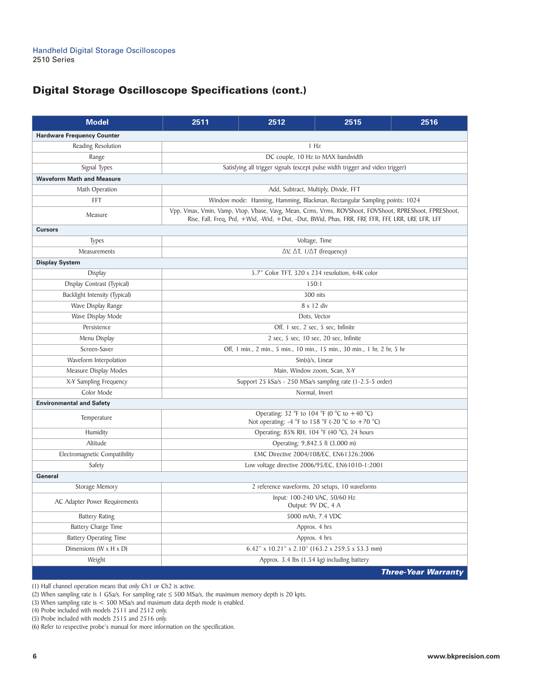# **Digital Storage Oscilloscope Specifications (cont.)**

| <b>Model</b>                         | 2511                                                                                                                                                                                                       | 2512                                             | 2515                                                                       | 2516                       |  |  |
|--------------------------------------|------------------------------------------------------------------------------------------------------------------------------------------------------------------------------------------------------------|--------------------------------------------------|----------------------------------------------------------------------------|----------------------------|--|--|
| <b>Hardware Frequency Counter</b>    |                                                                                                                                                                                                            |                                                  |                                                                            |                            |  |  |
| Reading Resolution                   | 1 Hz                                                                                                                                                                                                       |                                                  |                                                                            |                            |  |  |
| Range                                | DC couple, 10 Hz to MAX bandwidth                                                                                                                                                                          |                                                  |                                                                            |                            |  |  |
| Signal Types                         | Satisfying all trigger signals (except pulse width trigger and video trigger)                                                                                                                              |                                                  |                                                                            |                            |  |  |
| <b>Waveform Math and Measure</b>     |                                                                                                                                                                                                            |                                                  |                                                                            |                            |  |  |
| Math Operation                       | Add, Subtract, Multiply, Divide, FFT                                                                                                                                                                       |                                                  |                                                                            |                            |  |  |
| FFT                                  |                                                                                                                                                                                                            |                                                  | Window mode: Hanning, Hamming, Blackman, Rectangular Sampling points: 1024 |                            |  |  |
| Measure                              | Vpp, Vmax, Vmin, Vamp, Vtop, Vbase, Vavg, Mean, Crms, Vrms, ROVShoot, FOVShoot, RPREShoot, FPREShoot,<br>Rise, Fall, Freq, Prd, +Wid, -Wid, +Dut, -Dut, BWid, Phas, FRR, FRF, FFR, FFF, LRR, LRF, LFR, LFF |                                                  |                                                                            |                            |  |  |
| <b>Cursors</b>                       |                                                                                                                                                                                                            |                                                  |                                                                            |                            |  |  |
| <b>Types</b>                         |                                                                                                                                                                                                            | Voltage, Time                                    |                                                                            |                            |  |  |
| Measurements                         |                                                                                                                                                                                                            |                                                  | $\Delta V$ , $\Delta T$ , $1/\Delta T$ (frequency)                         |                            |  |  |
| <b>Display System</b>                |                                                                                                                                                                                                            |                                                  |                                                                            |                            |  |  |
| Display                              |                                                                                                                                                                                                            |                                                  | 5.7" Color TFT, 320 x 234 resolution, 64K color                            |                            |  |  |
| Display Contrast (Typical)           |                                                                                                                                                                                                            |                                                  | 150:1                                                                      |                            |  |  |
| Backlight Intensity (Typical)        |                                                                                                                                                                                                            |                                                  | 300 nits                                                                   |                            |  |  |
| Wave Display Range                   |                                                                                                                                                                                                            |                                                  | $8 \times 12$ div                                                          |                            |  |  |
| Wave Display Mode                    |                                                                                                                                                                                                            |                                                  | Dots, Vector                                                               |                            |  |  |
| Persistence                          |                                                                                                                                                                                                            |                                                  | Off, 1 sec, 2 sec, 5 sec, Infinite                                         |                            |  |  |
| Menu Display                         |                                                                                                                                                                                                            |                                                  | 2 sec, 5 sec, 10 sec, 20 sec, Infinite                                     |                            |  |  |
| Screen-Saver                         | Off, 1 min., 2 min., 5 min., 10 min., 15 min., 30 min., 1 hr, 2 hr, 5 hr                                                                                                                                   |                                                  |                                                                            |                            |  |  |
| Waveform Interpolation               | $Sin(x)/x$ , Linear                                                                                                                                                                                        |                                                  |                                                                            |                            |  |  |
| Measure Display Modes                | Main, Window zoom, Scan, X-Y                                                                                                                                                                               |                                                  |                                                                            |                            |  |  |
| X-Y Sampling Frequency               | Support 25 kSa/s - 250 MSa/s sampling rate (1-2.5-5 order)                                                                                                                                                 |                                                  |                                                                            |                            |  |  |
| Color Mode                           | Normal, Invert                                                                                                                                                                                             |                                                  |                                                                            |                            |  |  |
| <b>Environmental and Safety</b>      |                                                                                                                                                                                                            |                                                  |                                                                            |                            |  |  |
| Temperature                          | Operating: 32 °F to 104 °F (0 °C to +40 °C)<br>Not operating: -4 $\degree$ F to 158 $\degree$ F (-20 $\degree$ C to +70 $\degree$ C)                                                                       |                                                  |                                                                            |                            |  |  |
| Humidity                             | Operating: 85% RH, 104 °F (40 °C), 24 hours                                                                                                                                                                |                                                  |                                                                            |                            |  |  |
| Altitude                             | Operating: 9,842.5 ft (3,000 m)                                                                                                                                                                            |                                                  |                                                                            |                            |  |  |
| Electromagnetic Compatibility        | EMC Directive 2004/108/EC, EN61326:2006                                                                                                                                                                    |                                                  |                                                                            |                            |  |  |
| Safety                               |                                                                                                                                                                                                            | Low voltage directive 2006/95/EC, EN61010-1:2001 |                                                                            |                            |  |  |
| General                              |                                                                                                                                                                                                            |                                                  |                                                                            |                            |  |  |
| Storage Memory                       | 2 reference waveforms, 20 setups, 10 waveforms                                                                                                                                                             |                                                  |                                                                            |                            |  |  |
| AC Adapter Power Requirements        | Input: 100-240 VAC, 50/60 Hz<br>Output: 9V DC, 4 A                                                                                                                                                         |                                                  |                                                                            |                            |  |  |
| <b>Battery Rating</b>                | 5000 mAh, 7.4 VDC                                                                                                                                                                                          |                                                  |                                                                            |                            |  |  |
| Battery Charge Time                  | Approx. 4 hrs                                                                                                                                                                                              |                                                  |                                                                            |                            |  |  |
| <b>Battery Operating Time</b>        | Approx. 4 hrs                                                                                                                                                                                              |                                                  |                                                                            |                            |  |  |
| Dimensions ( $W \times H \times D$ ) | 6.42" x 10.21" x 2.10" (163.2 x 259.5 x 53.3 mm)                                                                                                                                                           |                                                  |                                                                            |                            |  |  |
| Weight                               |                                                                                                                                                                                                            |                                                  | Approx. 3.4 lbs (1.54 kg) including battery                                |                            |  |  |
|                                      |                                                                                                                                                                                                            |                                                  |                                                                            | <b>Three-Year Warranty</b> |  |  |

(1) Half channel operation means that only Ch1 or Ch2 is active.

(2) When sampling rate is 1 GSa/s. For sampling rate ≤ 500 MSa/s, the maximum memory depth is 20 kpts.

(3) When sampling rate is < 500 MSa/s and maximum data depth mode is enabled.

(4) Probe included with models 2511 and 2512 only.

(5) Probe included with models 2515 and 2516 only.

(6) Refer to respective probe's manual for more information on the specification.